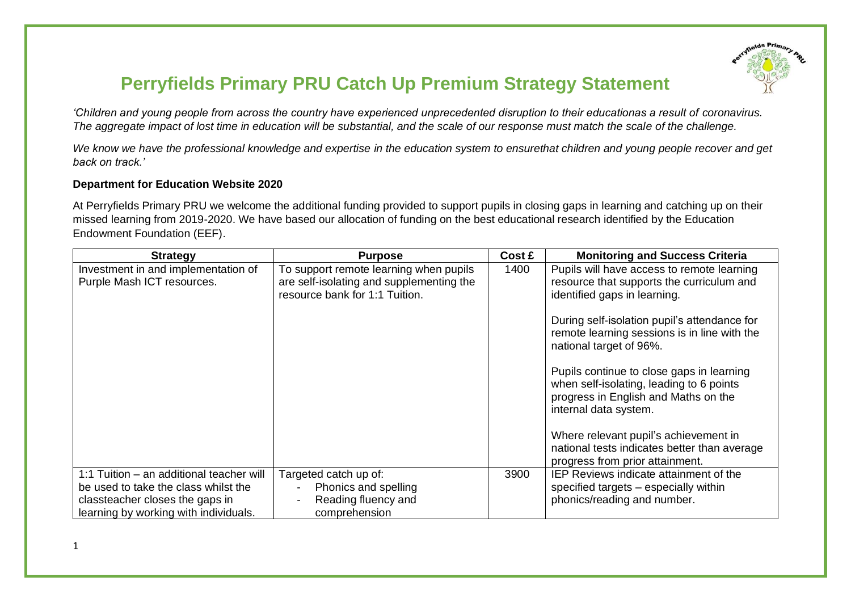

## **Perryfields Primary PRU Catch Up Premium Strategy Statement**

*'Children and young people from across the country have experienced unprecedented disruption to their educationas a result of coronavirus. The aggregate impact of lost time in education will be substantial, and the scale of our response must match the scale of the challenge.* 

*We know we have the professional knowledge and expertise in the education system to ensurethat children and young people recover and get back on track.'*

## **Department for Education Website 2020**

At Perryfields Primary PRU we welcome the additional funding provided to support pupils in closing gaps in learning and catching up on their missed learning from 2019-2020. We have based our allocation of funding on the best educational research identified by the Education Endowment Foundation (EEF).

| <b>Strategy</b>                                                                                                                                              | <b>Purpose</b>                                                                                                       | Cost £ | <b>Monitoring and Success Criteria</b>                                                                                                                 |
|--------------------------------------------------------------------------------------------------------------------------------------------------------------|----------------------------------------------------------------------------------------------------------------------|--------|--------------------------------------------------------------------------------------------------------------------------------------------------------|
| Investment in and implementation of<br>Purple Mash ICT resources.                                                                                            | To support remote learning when pupils<br>are self-isolating and supplementing the<br>resource bank for 1:1 Tuition. | 1400   | Pupils will have access to remote learning<br>resource that supports the curriculum and<br>identified gaps in learning.                                |
|                                                                                                                                                              |                                                                                                                      |        | During self-isolation pupil's attendance for<br>remote learning sessions is in line with the<br>national target of 96%.                                |
|                                                                                                                                                              |                                                                                                                      |        | Pupils continue to close gaps in learning<br>when self-isolating, leading to 6 points<br>progress in English and Maths on the<br>internal data system. |
|                                                                                                                                                              |                                                                                                                      |        | Where relevant pupil's achievement in<br>national tests indicates better than average<br>progress from prior attainment.                               |
| 1:1 Tuition - an additional teacher will<br>be used to take the class whilst the<br>classteacher closes the gaps in<br>learning by working with individuals. | Targeted catch up of:<br>Phonics and spelling<br>Reading fluency and<br>comprehension                                | 3900   | IEP Reviews indicate attainment of the<br>specified targets – especially within<br>phonics/reading and number.                                         |